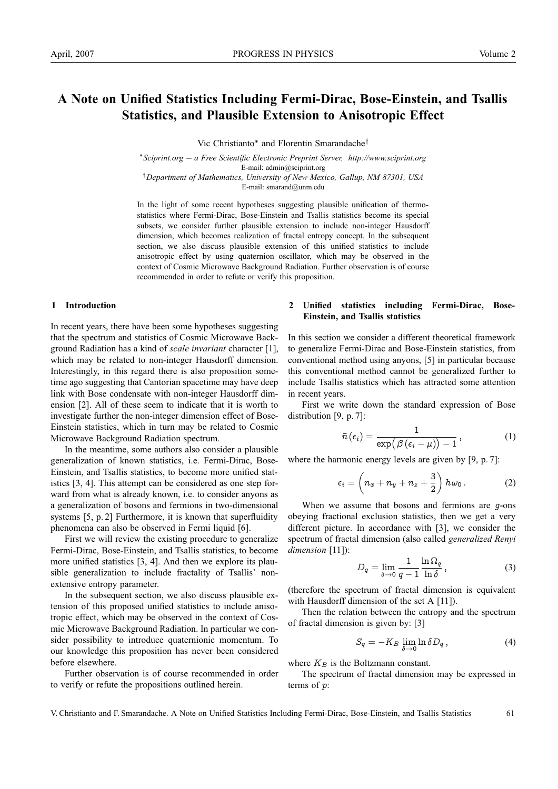# **A Note on Unified Statistics Including Fermi-Dirac, Bose-Einstein, and Tsallis Statistics, and Plausible Extension to Anisotropic Effect**

Vic Christianto∗ and Florentin Smarandache†

<sup>∗</sup>*Sciprint.org — a Free Scientific Electronic Preprint Server, http://www.sciprint.org* E-mail: admin@sciprint.org † *Department of Mathematics, University of New Mexico, Gallup, NM 87301, USA*

E-mail: smarand@unm.edu

In the light of some recent hypotheses suggesting plausible unification of thermostatistics where Fermi-Dirac, Bose-Einstein and Tsallis statistics become its special subsets, we consider further plausible extension to include non-integer Hausdorff dimension, which becomes realization of fractal entropy concept. In the subsequent section, we also discuss plausible extension of this unified statistics to include anisotropic effect by using quaternion oscillator, which may be observed in the context of Cosmic Microwave Background Radiation. Further observation is of course recommended in order to refute or verify this proposition.

### **1 Introduction**

In recent years, there have been some hypotheses suggesting that the spectrum and statistics of Cosmic Microwave Background Radiation has a kind of *scale invariant* character [1], which may be related to non-integer Hausdorff dimension. Interestingly, in this regard there is also proposition sometime ago suggesting that Cantorian spacetime may have deep link with Bose condensate with non-integer Hausdorff dimension [2]. All of these seem to indicate that it is worth to investigate further the non-integer dimension effect of Bose-Einstein statistics, which in turn may be related to Cosmic Microwave Background Radiation spectrum.

In the meantime, some authors also consider a plausible generalization of known statistics, i.e. Fermi-Dirac, Bose-Einstein, and Tsallis statistics, to become more unified statistics [3, 4]. This attempt can be considered as one step forward from what is already known, i.e. to consider anyons as a generalization of bosons and fermions in two-dimensional systems [5, p. 2] Furthermore, it is known that superfluidity phenomena can also be observed in Fermi liquid [6].

First we will review the existing procedure to generalize Fermi-Dirac, Bose-Einstein, and Tsallis statistics, to become more unified statistics [3, 4]. And then we explore its plausible generalization to include fractality of Tsallis' nonextensive entropy parameter.

In the subsequent section, we also discuss plausible extension of this proposed unified statistics to include anisotropic effect, which may be observed in the context of Cosmic Microwave Background Radiation. In particular we consider possibility to introduce quaternionic momentum. To our knowledge this proposition has never been considered before elsewhere.

Further observation is of course recommended in order to verify or refute the propositions outlined herein.

## **2 Unified statistics including Fermi-Dirac, Bose-Einstein, and Tsallis statistics**

In this section we consider a different theoretical framework to generalize Fermi-Dirac and Bose-Einstein statistics, from conventional method using anyons, [5] in particular because this conventional method cannot be generalized further to include Tsallis statistics which has attracted some attention in recent years.

First we write down the standard expression of Bose distribution [9, p. 7]:

$$
\bar{n}(\epsilon_i) = \frac{1}{\exp\bigl(\beta\,(\epsilon_i-\mu)\bigr)-1}\,,\qquad \qquad (1)
$$

where the harmonic energy levels are given by [9, p. 7]:

$$
\epsilon_i = \left(n_x + n_y + n_z + \frac{3}{2}\right)\hbar\omega_0.
$$
 (2)

When we assume that bosons and fermions are  $g$ -ons obeying fractional exclusion statistics, then we get a very different picture. In accordance with [3], we consider the spectrum of fractal dimension (also called *generalized Renyi dimension* [11]):

$$
D_q = \lim_{\delta \to 0} \frac{1}{q-1} \frac{\ln \Omega_q}{\ln \delta}, \qquad (3)
$$

(therefore the spectrum of fractal dimension is equivalent with Hausdorff dimension of the set A [11]).

Then the relation between the entropy and the spectrum of fractal dimension is given by: [3]

$$
S_q = -K_B \lim_{\delta \to 0} \ln \delta D_q \,, \tag{4}
$$

where  $K_B$  is the Boltzmann constant.

The spectrum of fractal dimension may be expressed in terms of p:

V. Christianto and F. Smarandache. A Note on Unified Statistics Including Fermi-Dirac, Bose-Einstein, and Tsallis Statistics 61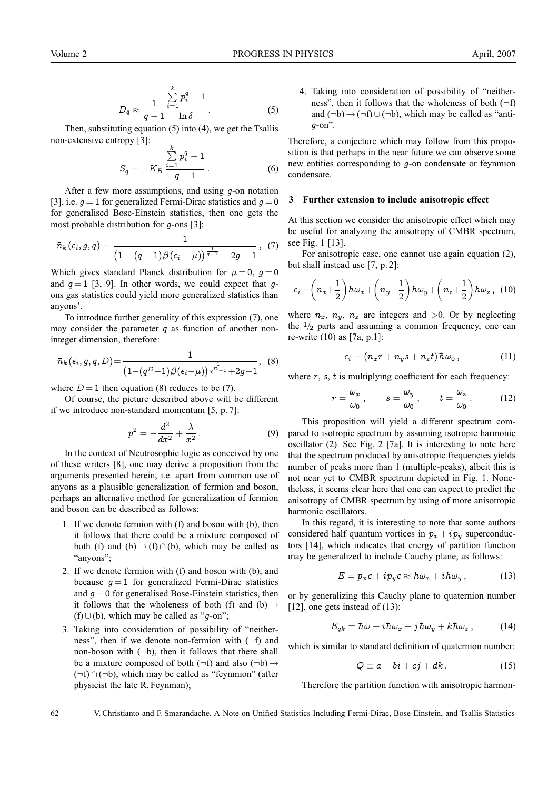$$
D_q \approx \frac{1}{q-1} \frac{\sum\limits_{i=1}^k p_i^q - 1}{\ln \delta}.
$$
 (5)

Then, substituting equation (5) into (4), we get the Tsallis non-extensive entropy [3]:

$$
S_q = -K_B \frac{\sum_{i=1}^k p_i^q - 1}{q - 1} \,. \tag{6}
$$

After a few more assumptions, and using g-on notation [3], i.e.  $q = 1$  for generalized Fermi-Dirac statistics and  $q = 0$ for generalised Bose-Einstein statistics, then one gets the most probable distribution for g-ons [3]:

$$
\bar{n}_{k}(\epsilon_{i}, g, q) = \frac{1}{\left(1 - (q - 1)\beta(\epsilon_{i} - \mu)\right)^{\frac{1}{q - 1}} + 2g - 1}, (7)
$$

Which gives standard Planck distribution for  $\mu = 0$ ,  $g = 0$ and  $q = 1$  [3, 9]. In other words, we could expect that qons gas statistics could yield more generalized statistics than anyons'.

To introduce further generality of this expression (7), one may consider the parameter  $q$  as function of another noninteger dimension, therefore:

$$
\bar{n}_{k}(\epsilon_{i}, g, q, D) = \frac{1}{\left(1 - (q^{D} - 1)\beta(\epsilon_{i} - \mu)\right)^{\frac{1}{q^{D} - 1}} + 2g - 1}, \quad (8)
$$

where  $D = 1$  then equation (8) reduces to be (7).

Of course, the picture described above will be different if we introduce non-standard momentum [5, p. 7]:

$$
p^2 = -\frac{d^2}{dx^2} + \frac{\lambda}{x^2} \,.
$$
 (9)

In the context of Neutrosophic logic as conceived by one of these writers [8], one may derive a proposition from the arguments presented herein, i.e. apart from common use of anyons as a plausible generalization of fermion and boson, perhaps an alternative method for generalization of fermion and boson can be described as follows:

- 1. If we denote fermion with (f) and boson with (b), then it follows that there could be a mixture composed of both (f) and (b)  $\rightarrow$  (f) ∩ (b), which may be called as "anyons":
- 2. If we denote fermion with (f) and boson with (b), and because  $g = 1$  for generalized Fermi-Dirac statistics and  $g = 0$  for generalised Bose-Einstein statistics, then it follows that the wholeness of both (f) and (b)  $\rightarrow$ (f) ∪(b), which may be called as "g-on";
- 3. Taking into consideration of possibility of "neitherness", then if we denote non-fermion with  $(\neg f)$  and non-boson with  $(\neg b)$ , then it follows that there shall be a mixture composed of both  $(\neg f)$  and also  $(\neg b) \rightarrow$ (¬f) ∩ (¬b), which may be called as "feynmion" (after physicist the late R. Feynman);

4. Taking into consideration of possibility of "neitherness", then it follows that the wholeness of both  $(\neg f)$ and  $(\neg b) \rightarrow (\neg f) \cup (\neg b)$ , which may be called as "anti $q$ -on".

Therefore, a conjecture which may follow from this proposition is that perhaps in the near future we can observe some new entities corresponding to g-on condensate or feynmion condensate.

#### **3 Further extension to include anisotropic effect**

At this section we consider the anisotropic effect which may be useful for analyzing the anisotropy of CMBR spectrum, see Fig. 1 [13].

For anisotropic case, one cannot use again equation (2), but shall instead use [7, p. 2]:

$$
\epsilon_i = \left(n_x + \frac{1}{2}\right)\hbar\omega_x + \left(n_y + \frac{1}{2}\right)\hbar\omega_y + \left(n_z + \frac{1}{2}\right)\hbar\omega_z, \quad (10)
$$

where  $n_x$ ,  $n_y$ ,  $n_z$  are integers and  $>0$ . Or by neglecting the  $\frac{1}{2}$  parts and assuming a common frequency, one can re-write (10) as [7a, p.1]:

$$
\epsilon_i = (n_x r + n_y s + n_z t) \hbar \omega_0, \qquad (11)
$$

where  $r$ ,  $s$ ,  $t$  is multiplying coefficient for each frequency:

$$
r = \frac{\omega_x}{\omega_0}, \qquad s = \frac{\omega_y}{\omega_0}, \qquad t = \frac{\omega_z}{\omega_0}.
$$
 (12)

This proposition will yield a different spectrum compared to isotropic spectrum by assuming isotropic harmonic oscillator (2). See Fig. 2 [7a]. It is interesting to note here that the spectrum produced by anisotropic frequencies yields number of peaks more than 1 (multiple-peaks), albeit this is not near yet to CMBR spectrum depicted in Fig. 1. Nonetheless, it seems clear here that one can expect to predict the anisotropy of CMBR spectrum by using of more anisotropic harmonic oscillators.

In this regard, it is interesting to note that some authors considered half quantum vortices in  $p_x + i p_y$  superconductors [14], which indicates that energy of partition function may be generalized to include Cauchy plane, as follows:

$$
E = p_x c + i p_y c \approx \hbar \omega_x + i \hbar \omega_y , \qquad (13)
$$

or by generalizing this Cauchy plane to quaternion number [12], one gets instead of  $(13)$ :

$$
E_{qk} = \hbar\omega + i\hbar\omega_x + j\hbar\omega_y + k\hbar\omega_z, \qquad (14)
$$

which is similar to standard definition of quaternion number:

$$
Q \equiv a + bi + cj + dk. \tag{15}
$$

Therefore the partition function with anisotropic harmon-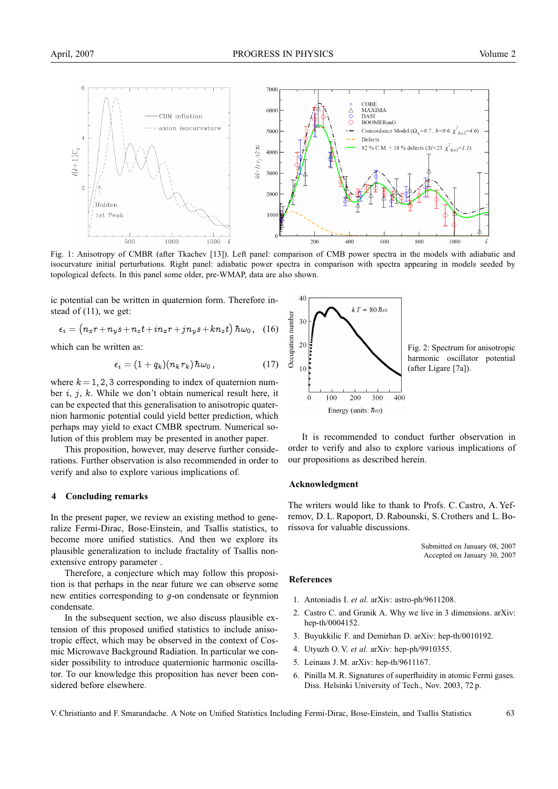

Fig. 1: Anisotropy of CMBR (after Tkachev [13]). Left panel: comparison of CMB power spectra in the models with adiabatic and isocurvature initial perturbations. Right panel: adiabatic power spectra in comparison with spectra appearing in models seeded by topological defects. In this panel some older, pre-WMAP, data are also shown.

ic potential can be written in quaternion form. Therefore instead of (11), we get:

$$
\epsilon_i = (n_x r + n_y s + n_z t + i n_x r + j n_y s + k n_z t) \hbar \omega_0, \quad (16)
$$

which can be written as:

$$
\epsilon_i = (1 + q_k)(n_k r_k)\hbar\omega_0, \qquad (17)
$$

where  $k = 1, 2, 3$  corresponding to index of quaternion number  $i, j, k$ . While we don't obtain numerical result here, it can be expected that this generalisation to anisotropic quaternion harmonic potential could yield better prediction, which perhaps may yield to exact CMBR spectrum. Numerical solution of this problem may be presented in another paper.

This proposition, however, may deserve further considerations. Further observation is also recommended in order to verify and also to explore various implications of.

#### **4 Concluding remarks**

In the present paper, we review an existing method to generalize Fermi-Dirac, Bose-Einstein, and Tsallis statistics, to become more unified statistics. And then we explore its plausible generalization to include fractality of Tsallis nonextensive entropy parameter .

Therefore, a conjecture which may follow this proposition is that perhaps in the near future we can observe some new entities corresponding to g-on condensate or feynmion condensate.

In the subsequent section, we also discuss plausible extension of this proposed unified statistics to include anisotropic effect, which may be observed in the context of Cosmic Microwave Background Radiation. In particular we consider possibility to introduce quaternionic harmonic oscillator. To our knowledge this proposition has never been considered before elsewhere.



It is recommended to conduct further observation in order to verify and also to explore various implications of our propositions as described herein.

#### **Acknowledgment**

The writers would like to thank to Profs. C. Castro, A. Yefremov, D. L. Rapoport, D. Rabounski, S. Crothers and L. Borissova for valuable discussions.

> Submitted on January 08, 2007 Accepted on January 30, 2007

#### **References**

- 1. Antoniadis I. *et al.* arXiv: astro-ph/9611208.
- 2. Castro C. and Granik A. Why we live in 3 dimensions. arXiv: hep-th/0004152.
- 3. Buyukkilic F. and Demirhan D. arXiv: hep-th/0010192.
- 4. Utyuzh O. V. *et al.* arXiv: hep-ph/9910355.
- 5. Leinaas J. M. arXiv: hep-th/9611167.
- 6. Pinilla M. R. Signatures of superfluidity in atomic Fermi gases. Diss. Helsinki University of Tech., Nov. 2003, 72 p.

V. Christianto and F. Smarandache. A Note on Unified Statistics Including Fermi-Dirac, Bose-Einstein, and Tsallis Statistics 63